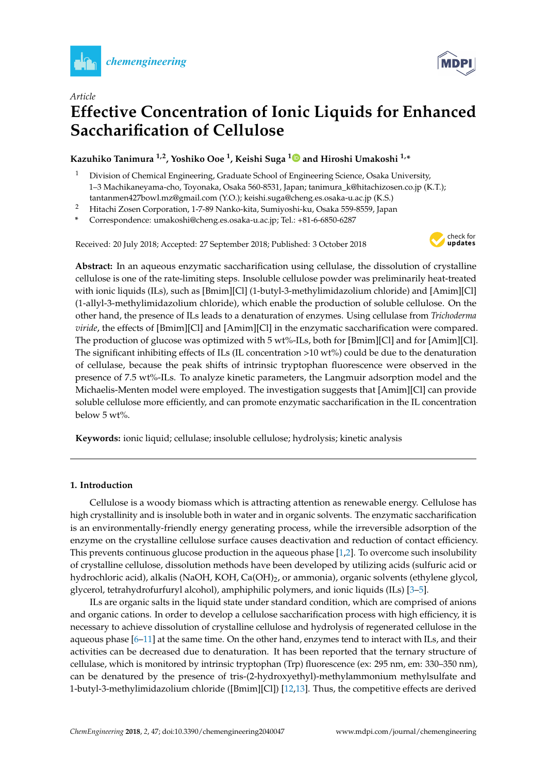

*Article*



# **Effective Concentration of Ionic Liquids for Enhanced Saccharification of Cellulose**

### **Kazuhiko Tanimura 1,2, Yoshiko Ooe <sup>1</sup> , Keishi Suga [1](https://orcid.org/0000-0001-8015-8729) and Hiroshi Umakoshi 1,\***

- <sup>1</sup> Division of Chemical Engineering, Graduate School of Engineering Science, Osaka University, 1–3 Machikaneyama-cho, Toyonaka, Osaka 560-8531, Japan; tanimura\_k@hitachizosen.co.jp (K.T.); tantanmen427bowl.mz@gmail.com (Y.O.); keishi.suga@cheng.es.osaka-u.ac.jp (K.S.)
- <sup>2</sup> Hitachi Zosen Corporation, 1-7-89 Nanko-kita, Sumiyoshi-ku, Osaka 559-8559, Japan
- **\*** Correspondence: umakoshi@cheng.es.osaka-u.ac.jp; Tel.: +81-6-6850-6287

Received: 20 July 2018; Accepted: 27 September 2018; Published: 3 October 2018



**Abstract:** In an aqueous enzymatic saccharification using cellulase, the dissolution of crystalline cellulose is one of the rate-limiting steps. Insoluble cellulose powder was preliminarily heat-treated with ionic liquids (ILs), such as [Bmim][Cl] (1-butyl-3-methylimidazolium chloride) and [Amim][Cl] (1-allyl-3-methylimidazolium chloride), which enable the production of soluble cellulose. On the other hand, the presence of ILs leads to a denaturation of enzymes. Using cellulase from *Trichoderma viride*, the effects of [Bmim][Cl] and [Amim][Cl] in the enzymatic saccharification were compared. The production of glucose was optimized with 5 wt%-ILs, both for [Bmim][Cl] and for [Amim][Cl]. The significant inhibiting effects of ILs (IL concentration >10 wt%) could be due to the denaturation of cellulase, because the peak shifts of intrinsic tryptophan fluorescence were observed in the presence of 7.5 wt%-ILs. To analyze kinetic parameters, the Langmuir adsorption model and the Michaelis-Menten model were employed. The investigation suggests that [Amim][Cl] can provide soluble cellulose more efficiently, and can promote enzymatic saccharification in the IL concentration below 5 wt%.

**Keywords:** ionic liquid; cellulase; insoluble cellulose; hydrolysis; kinetic analysis

#### **1. Introduction**

Cellulose is a woody biomass which is attracting attention as renewable energy. Cellulose has high crystallinity and is insoluble both in water and in organic solvents. The enzymatic saccharification is an environmentally-friendly energy generating process, while the irreversible adsorption of the enzyme on the crystalline cellulose surface causes deactivation and reduction of contact efficiency. This prevents continuous glucose production in the aqueous phase [\[1,](#page-6-0)[2\]](#page-6-1). To overcome such insolubility of crystalline cellulose, dissolution methods have been developed by utilizing acids (sulfuric acid or hydrochloric acid), alkalis (NaOH, KOH, Ca(OH)<sub>2</sub>, or ammonia), organic solvents (ethylene glycol, glycerol, tetrahydrofurfuryl alcohol), amphiphilic polymers, and ionic liquids (ILs) [\[3](#page-6-2)[–5\]](#page-6-3).

ILs are organic salts in the liquid state under standard condition, which are comprised of anions and organic cations. In order to develop a cellulose saccharification process with high efficiency, it is necessary to achieve dissolution of crystalline cellulose and hydrolysis of regenerated cellulose in the aqueous phase [\[6–](#page-6-4)[11\]](#page-7-0) at the same time. On the other hand, enzymes tend to interact with ILs, and their activities can be decreased due to denaturation. It has been reported that the ternary structure of cellulase, which is monitored by intrinsic tryptophan (Trp) fluorescence (ex: 295 nm, em: 330–350 nm), can be denatured by the presence of tris-(2-hydroxyethyl)-methylammonium methylsulfate and 1-butyl-3-methylimidazolium chloride ([Bmim][Cl]) [\[12](#page-7-1)[,13\]](#page-7-2). Thus, the competitive effects are derived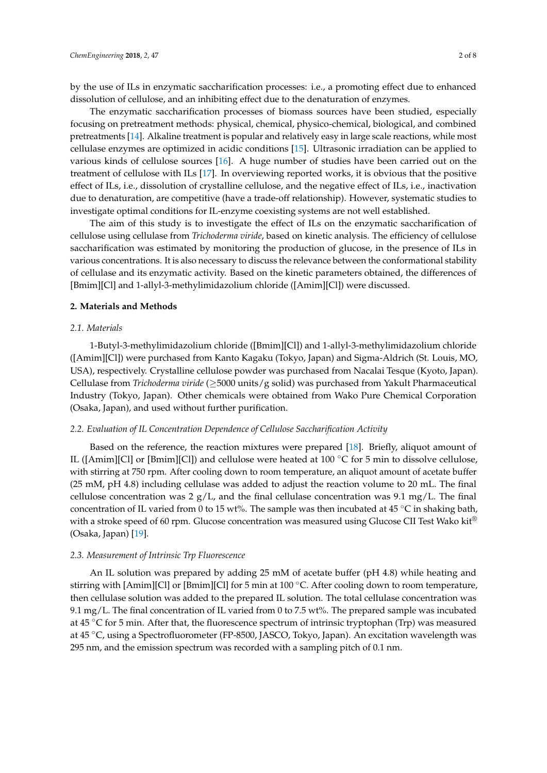by the use of ILs in enzymatic saccharification processes: i.e., a promoting effect due to enhanced dissolution of cellulose, and an inhibiting effect due to the denaturation of enzymes.

The enzymatic saccharification processes of biomass sources have been studied, especially focusing on pretreatment methods: physical, chemical, physico-chemical, biological, and combined pretreatments [\[14\]](#page-7-3). Alkaline treatment is popular and relatively easy in large scale reactions, while most cellulase enzymes are optimized in acidic conditions [\[15\]](#page-7-4). Ultrasonic irradiation can be applied to various kinds of cellulose sources [\[16\]](#page-7-5). A huge number of studies have been carried out on the treatment of cellulose with ILs [\[17\]](#page-7-6). In overviewing reported works, it is obvious that the positive effect of ILs, i.e., dissolution of crystalline cellulose, and the negative effect of ILs, i.e., inactivation due to denaturation, are competitive (have a trade-off relationship). However, systematic studies to investigate optimal conditions for IL-enzyme coexisting systems are not well established.

The aim of this study is to investigate the effect of ILs on the enzymatic saccharification of cellulose using cellulase from *Trichoderma viride*, based on kinetic analysis. The efficiency of cellulose saccharification was estimated by monitoring the production of glucose, in the presence of ILs in various concentrations. It is also necessary to discuss the relevance between the conformational stability of cellulase and its enzymatic activity. Based on the kinetic parameters obtained, the differences of [Bmim][Cl] and 1-allyl-3-methylimidazolium chloride ([Amim][Cl]) were discussed.

#### **2. Materials and Methods**

#### *2.1. Materials*

1-Butyl-3-methylimidazolium chloride ([Bmim][Cl]) and 1-allyl-3-methylimidazolium chloride ([Amim][Cl]) were purchased from Kanto Kagaku (Tokyo, Japan) and Sigma-Aldrich (St. Louis, MO, USA), respectively. Crystalline cellulose powder was purchased from Nacalai Tesque (Kyoto, Japan). Cellulase from *Trichoderma viride* (≥5000 units/g solid) was purchased from Yakult Pharmaceutical Industry (Tokyo, Japan). Other chemicals were obtained from Wako Pure Chemical Corporation (Osaka, Japan), and used without further purification.

#### *2.2. Evaluation of IL Concentration Dependence of Cellulose Saccharification Activity*

Based on the reference, the reaction mixtures were prepared [\[18\]](#page-7-7). Briefly, aliquot amount of IL ([Amim][Cl] or [Bmim][Cl]) and cellulose were heated at 100  $\degree$ C for 5 min to dissolve cellulose, with stirring at 750 rpm. After cooling down to room temperature, an aliquot amount of acetate buffer (25 mM, pH 4.8) including cellulase was added to adjust the reaction volume to 20 mL. The final cellulose concentration was  $2 g/L$ , and the final cellulase concentration was 9.1 mg/L. The final concentration of IL varied from 0 to 15 wt%. The sample was then incubated at 45  $°C$  in shaking bath, with a stroke speed of 60 rpm. Glucose concentration was measured using Glucose CII Test Wako kit<sup>®</sup> (Osaka, Japan) [\[19\]](#page-7-8).

#### *2.3. Measurement of Intrinsic Trp Fluorescence*

An IL solution was prepared by adding 25 mM of acetate buffer (pH 4.8) while heating and stirring with [Amim][Cl] or [Bmim][Cl] for 5 min at 100 ◦C. After cooling down to room temperature, then cellulase solution was added to the prepared IL solution. The total cellulase concentration was 9.1 mg/L. The final concentration of IL varied from 0 to 7.5 wt%. The prepared sample was incubated at 45  $\degree$ C for 5 min. After that, the fluorescence spectrum of intrinsic tryptophan (Trp) was measured at 45 ◦C, using a Spectrofluorometer (FP-8500, JASCO, Tokyo, Japan). An excitation wavelength was 295 nm, and the emission spectrum was recorded with a sampling pitch of 0.1 nm.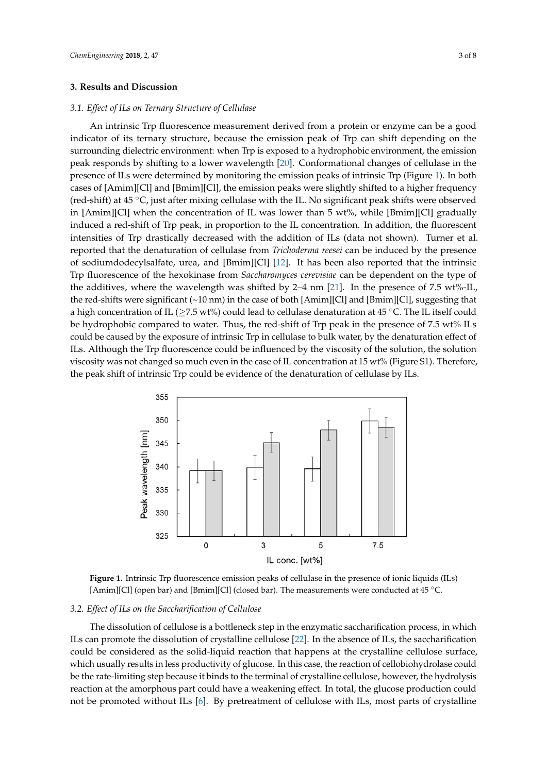#### **3. Results and Discussion**

#### *3.1. Effect of ILs on Ternary Structure of Cellulase*

An intrinsic Trp fluorescence measurement derived from a protein or enzyme can be a good indicator of its ternary structure, because the emission peak of Trp can shift depending on the surrounding dielectric environment: when Trp is exposed to a hydrophobic environment, the emission peak responds by shifting to a lower wavelength [\[20\]](#page-7-9). Conformational changes of cellulase in the presence of ILs were determined by monitoring the emission peaks of intrinsic Trp (Figure [1\)](#page-2-0). In both cases of [Amim][Cl] and [Bmim][Cl], the emission peaks were slightly shifted to a higher frequency (red-shift) at 45 ◦C, just after mixing cellulase with the IL. No significant peak shifts were observed in [Amim][Cl] when the concentration of IL was lower than 5 wt%, while [Bmim][Cl] gradually induced a red-shift of Trp peak, in proportion to the IL concentration. In addition, the fluorescent intensities of Trp drastically decreased with the addition of ILs (data not shown). Turner et al. reported that the denaturation of cellulase from *Trichoderma reesei* can be induced by the presence of sodiumdodecylsalfate, urea, and [Bmim][Cl] [\[12\]](#page-7-1). It has been also reported that the intrinsic Trp fluorescence of the hexokinase from *Saccharomyces cerevisiae* can be dependent on the type of the additives, where the wavelength was shifted by 2–4 nm [\[21\]](#page-7-10). In the presence of 7.5 wt%-IL, the red-shifts were significant (~10 nm) in the case of both [Amim][Cl] and [Bmim][Cl], suggesting that a high concentration of IL ( $\geq$ 7.5 wt%) could lead to cellulase denaturation at 45 °C. The IL itself could be hydrophobic compared to water. Thus, the red-shift of Trp peak in the presence of 7.5 wt% ILs could be caused by the exposure of intrinsic Trp in cellulase to bulk water, by the denaturation effect of ILs. Although the Trp fluorescence could be influenced by the viscosity of the solution, the solution viscosity was not changed so much even in the case of IL concentration at 15 wt% (Figure S1). Therefore, the peak shift of intrinsic Trp could be evidence of the denaturation of cellulase by ILs.

<span id="page-2-0"></span>

**Figure 1.** Intrinsic Trp fluorescence emission peaks of cellulase in the presence of ionic liquids (ILs) **Figure 1.** Intrinsic Trp fluorescence emission peaks of cellulase in the presence of ionic liquids (ILs) [Amim][Cl] (open bar) and [Bmim][Cl] (closed bar). The measurements were conducted at 45 °C.

## *3.2. Effect of ILs on the Saccharification of Cellulose 3.2. Effect of ILs on the Saccharification of Cellulose*

The dissolution of cellulose is a bottleneck step in the enzymatic saccharification process, in The dissolution of cellulose is a bottleneck step in the enzymatic saccharification process, in which ILs can promote the dissolution of crystalline cellulose [\[22\]](#page-7-11). In the absence of ILs, the saccharification  $\mathop{\mathrm{could}}$  be considered as the solid-liquid reaction that happens at the crystalline cellulose surface, which usually results in less productivity of glucose. In this case, the reaction of cellobiohydrolase could be the rate-limiting step because it binds to the terminal of crystalline cellulose, however, the hydrolysis reaction at the amorphous part could have a weakening effect. In total, the glucose production could not be promoted without ILs [6]. By pretreatment of cellulose with ILs, most parts of crystalline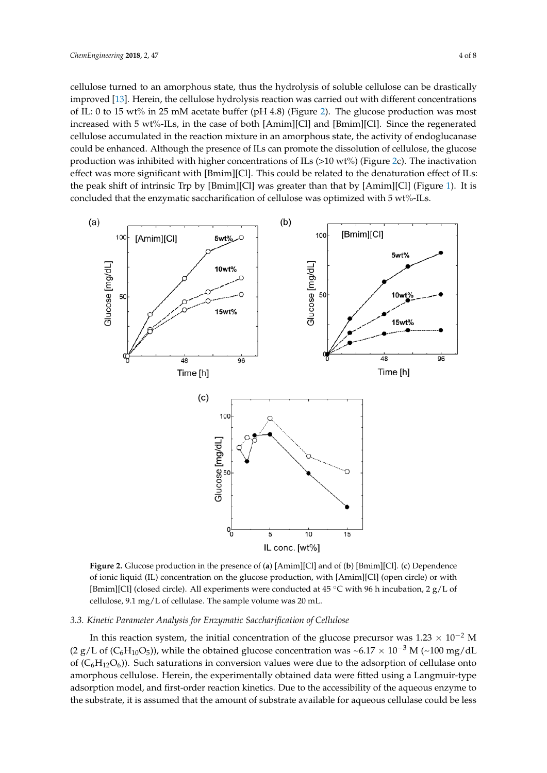cellulose turned to an amorphous state, thus the hydrolysis of soluble cellulose can be drastically improved [\[13\]](#page-7-2). Herein, the cellulose hydrolysis reaction was carried out with different concentrations of IL: 0 to 15 wt% in 25 mM acetate buffer (pH 4.8) (Figure [2\)](#page-3-0). The glucose production was most increased with 5 wt%-ILs, in the case of both [Amim][Cl] and [Bmim][Cl]. Since the regenerated cellulose accumulated in the reaction mixture in an amorphous state, the activity of endoglucanase could be enhanced. Although the presence of ILs can promote the dissolution of cellulose, the glucose production was inhibited with higher concentrations of ILs  $(>10 \text{ wt})$  (Figure [2c](#page-3-0)). The inactivation effect was more significant with [Bmim][Cl]. This could be related to the denaturation effect of ILs: the peak shift of intrinsic Trp by [Bmim][Cl] was greater than that by [Amim][Cl] (Figure [1\)](#page-2-0). It is concluded that the enzymatic saccharification of cellulose was optimized with 5 wt%-ILs.

<span id="page-3-0"></span>

Figure 2. Glucose production in the presence of (a) [Amim][Cl] and of (b) [Bmim][Cl]. (c) Dependence of ionic liquid (IL) concentration on the glucose production, with [Amim][Cl] (open circle) or with of ionic liquid (IL) concentration on the glucose production, with [Amim][Cl] (open circle) or with [Bmim][Cl] (closed circle). All experiments were conducted at 45 °C with 96 h incubation, 2  $g/L$  of cellulose, 9.1 mg/L of cellulase. The sample volume was 20 mL. cellulose, 9.1 mg/L of cellulase. The sample volume was 20 mL.

## *3.3. Kinetic Parameter Analysis for Enzymatic Saccharification of Cellulose 3.3. Kinetic Parameter Analysis for Enzymatic Saccharification of Cellulose*

In this reaction system, the initial concentration of the glucose precursor was 1.23  $\times$  10−2 M (2 g/L of (C<sub>6</sub>H<sub>10</sub>O<sub>5</sub>)), while the obtained glucose concentration was ~6.17 × 10<sup>-3</sup> M (~100 mg/dL) of  $(C_6H_{12}O_6)$ ). Such saturations in conversion values were due to the adsorption of cellulase onto amorphous cellulose. Herein, the experimentally obtained data were fitted using a Langmuir-type and the state of the state of the state of the state of the state of the state of the state of the state of the state of the s adsorption model, and first-order reaction kinetics. Due to the accessibility of the aqueous enzyme to the accessibility of the aqueous enzyme to the substrate, it is assumed that the amount of substrate available for aqueous cellulase could be less In this reaction system, the initial concentration of the glucose precursor was  $1.23 \times 10^{-2}$  M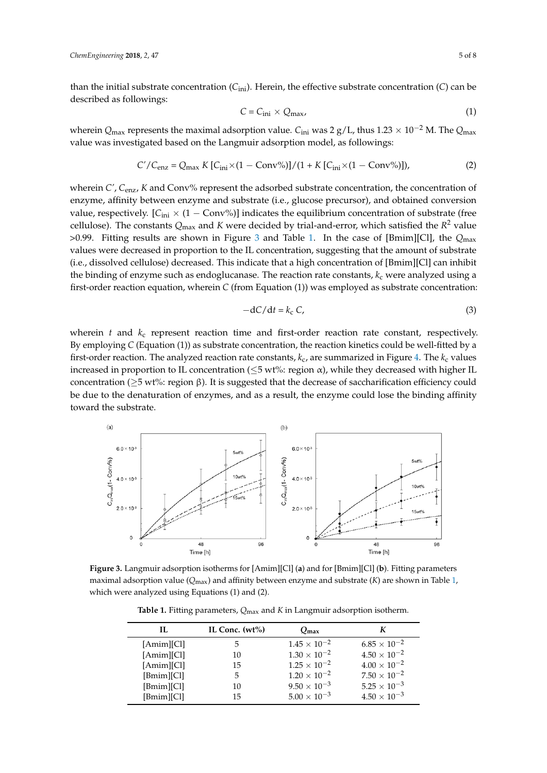than the initial substrate concentration (*C*ini). Herein, the effective substrate concentration (*C*) can be described as followings:

$$
C = C_{\text{ini}} \times Q_{\text{max}},\tag{1}
$$

wherein *Q*max represents the maximal adsorption value. *C*ini was 2 g/L, thus 1.23 × 10−<sup>2</sup> M. The *Q*max value was investigated based on the Langmuir adsorption model, as followings:

$$
C'/C_{\text{enz}} = Q_{\text{max}} K [C_{\text{ini}} \times (1 - \text{Conv\%})]/(1 + K [C_{\text{ini}} \times (1 - \text{Conv\%})]),
$$
 (2)

wherein *C'*, *C*enz, *K* and Conv% represent the adsorbed substrate concentration, the concentration of enzyme, affinity between enzyme and substrate (i.e., glucose precursor), and obtained conversion<br>*Chemengineering and conversion* value, respectively.  $[C_{\text{ini}} \times (1 - \text{Conv}\%)]$  indicates the equilibrium concentration of substrate (free cellulose). The constants  $Q_{\text{max}}$  and K were decided by trial-and-error, which satisfied the  $R^2$  value >0.99. Fitting results are shown in Figure 3 and Table 1. In the case of [Bmim][Cl], the *Q*max >0.99. Fitting results are shown in Figure [3 a](#page-4-0)nd Table 1. [In](#page-4-1) the case of [Bmim][Cl], the *Q*max values values were decreased in proportion to the IL concentration, suggesting that the amount of substrate (i.e., dissolved cellulose) decreased. This indicate that a high concentration of [Bmim][Cl] can inhibit the binding of enzyme such as endoglucanase. The reaction rate constants, *k*<sub>c</sub> were analyzed using a first-order reaction equation, wherein *C* (from Equation (1)) was employed as substrate concentration:

$$
-dC/dt = k_c C, \tag{3}
$$

wherein *t* and  $k_c$  represent reaction time and first-order reaction rate constant, respectively. By employing C (Equation (1)) as substrate concentration, the reaction kinetics could be well-fitted by a first-order reaction. The analyzed reaction rate constants*,*  $k_{\rm c}$ *,* are summarized in Figure 4. The  $k_{\rm c}$  values increased in proportion to IL concentration ( $\leq$ 5 wt%: region  $\alpha$ ), while they decreased with higher IL concentration ( $\geq$ 5 wt%: region β). It is suggested that the decrease of saccharification efficiency could be due to the denaturation of enzymes, and as a result, the enzyme could lose the binding affinity toward the substrate. first-order reaction. The analyzed reaction rate constants, *k*c, are summarized in Figure 4. The *k*<sup>c</sup> values

<span id="page-4-0"></span>

<span id="page-4-1"></span>**Figure 3.** Langmuir adsorption isotherms for [Amim][Cl] (**a**) and for [Bmim][Cl] (**b**). Fitting parameters parameters maximal adsorption value (*Q*max) and affinity between enzyme and substrate (*K*) are maximal adsorption value (*Q*max) and affinity between enzyme and substrate (*K*) are shown in Table [1,](#page-4-1) which were analyzed using Equations (1) and (2).

**Table 1.** Fitting parameters, *Q*max and *K* in Langmuir adsorption isotherm.

| IL         | IL Conc. $(wt\%)$ | $Q_{\text{max}}$      |                       |
|------------|-------------------|-----------------------|-----------------------|
| [Amim][Cl] | 5                 | $1.45 \times 10^{-2}$ | $6.85 \times 10^{-2}$ |
| [Amim][Cl] | 10                | $1.30 \times 10^{-2}$ | $4.50 \times 10^{-2}$ |
| [Amim][Cl] | 15                | $1.25 \times 10^{-2}$ | $4.00 \times 10^{-2}$ |
| [Bmim][Cl] | 5                 | $1.20 \times 10^{-2}$ | $7.50 \times 10^{-2}$ |
| [Bmim][Cl] | 10                | $9.50 \times 10^{-3}$ | $5.25 \times 10^{-3}$ |
| [Bmim][Cl] | 15                | $5.00 \times 10^{-3}$ | $4.50 \times 10^{-3}$ |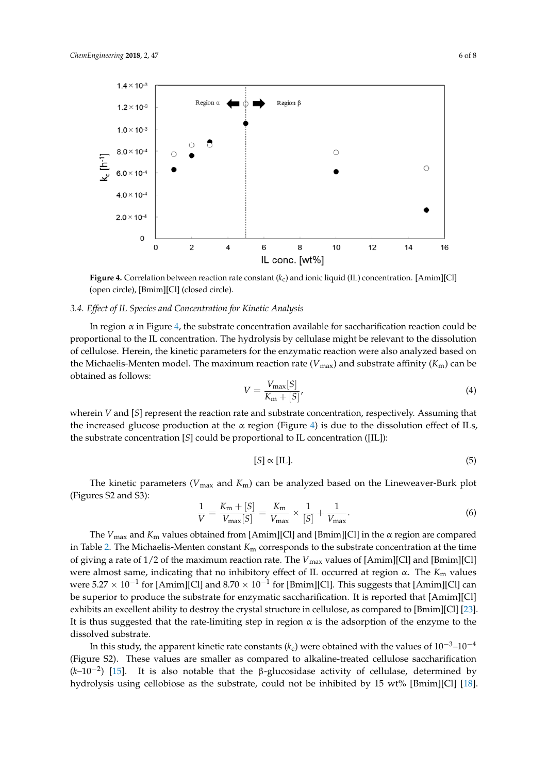<span id="page-5-0"></span>

(open circle), [Bmim][Cl] (closed circle). **Figure 4.** Correlation between reaction rate constant (*k*c) and ionic liquid (IL) concentration. [Amim][Cl]

#### $\mathcal{L}(\mathcal{L}|\mathcal{L})$  (open circle),  $\mathcal{L}(\mathcal{L}|\mathcal{L})$ *3.4. Effect of IL Species and Concentration for Kinetic Analysis*

*3.4. Effect of IL Species and Concentration for Kinetic Analysis* In region α in Figure [4,](#page-5-0) the substrate concentration available for saccharification reaction could be proportional to the IL concentration. The hydrolysis by cellulase might be relevant to the dissolution of cellulose. Herein, the kinetic parameters for the enzymatic reaction were also analyzed based on Michaelis-Menton model. The maximum reaction rate  $(U_{\alpha})$  and substrate affinity  $(K_{\alpha})$  can be the Michaelis-Menten model. The maximum reaction rate ( $V_{\text{max}}$ ) and substrate affinity ( $K_{\text{m}}$ ) can be obtained as follows: can be obtained as follows: obtained as follows:

$$
V = \frac{V_{\text{max}}[S]}{K_{\text{m}} + [S]},\tag{4}
$$

wherein *V* and [*S*] represent the reaction rate and substrate concentration, respectively. Assuming that the increased glucose production at the α region (Figure [4\)](#page-5-0) is due to the dissolution effect of ILs, the substrate concentration [*S*] could be proportional to IL concentration ([IL]): the substrate concentration [*S*] could be proportional to IL concentration ([IL]):

$$
[S] \propto [\text{IL}]. \tag{5}
$$

The kinetic parameters (*V*max and *K*m) can be analyzed based on the Lineweaver-Burk plot The kinetic parameters (*V*max and *K*m) can be analyzed based on the Lineweaver-Burk plot (Figures S2 and S3): (Figures S2 and S3):

$$
\frac{1}{V} = \frac{K_{\rm m} + [S]}{V_{\rm max}[S]} = \frac{K_{\rm m}}{V_{\rm max}} \times \frac{1}{[S]} + \frac{1}{V_{\rm max}}.
$$
\n(6)

The *V*max and *K*<sup>m</sup> values obtained from [Amim][Cl] and [Bmim][Cl] in the α region are compared The *V*max and *K*<sup>m</sup> values obtained from [Amim][Cl] and [Bmim][Cl] in the α region are compared in Table 2. The Michaelis-Menten constant *K*<sup>m</sup> corresponds to the substrate concentration at the time in Table [2.](#page-6-5) The Michaelis-Menten constant *K*<sup>m</sup> corresponds to the substrate concentration at the time of giving a rate of 1/2 of the maximum reaction reaction reaction reaction reaction reaction rate. The *Vmaximum reaction* rate of  $\alpha$ mimal  $\alpha$ of giving a rate of 1/2 of the maximum reaction rate. The *V*<sub>max</sub> values of [Amim][Cl] and [Bmim][Cl] but all the *K*<sub>m</sub> values of  $\overline{K}$ were almost same, indicating that no inhibitory effect of IL occurred at region  $\alpha$ . The  $K_m$  values were  $5.27 \times 10^{-1}$  for [Amim][Cl] and  $8.70 \times 10^{-1}$  for [Bmim][Cl]. This suggests that [Amim][Cl] can be superior to produce the substrate for enzymatic saccharification. It is reported that  $[\text{Amin}][\text{Cl}]$ exhibits an excellent ability to destroy the crystal structure in cellulose, as compared to [Bmim][Cl] [\[23\]](#page-7-12). It is thus suggested that the rate-limiting step in region  $\alpha$  is the adsorption of the enzyme to the dissolved substrate.  $\overline{a}$  were obtained with the values of 10−3–4–4 $\overline{a}$ 

In this study, the apparent kinetic rate constants ( $k_c$ ) were obtained with the values of 10<sup>-3</sup>–10<sup>-4</sup> (Figure S2). These values are smaller as compared to alkaline-treated cellulose saccharification (*k*–10<sup>-2</sup>) [15]. It is also notable that the β-glucosidase activity of cellulase, determined by hydrolysis using cellobiose as the substrate, could not be inhibited by 15 wt% [Bmim][Cl] [\[18\]](#page-7-7).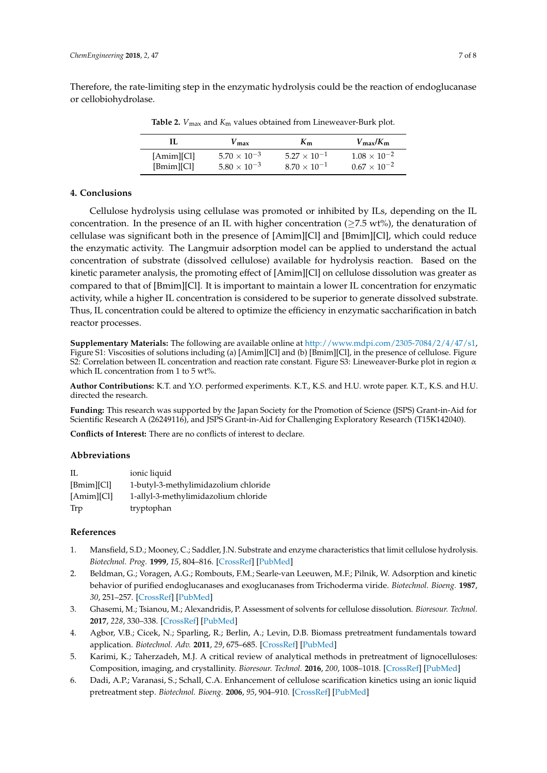<span id="page-6-5"></span>Therefore, the rate-limiting step in the enzymatic hydrolysis could be the reaction of endoglucanase or cellobiohydrolase.

| Н.         | $\sqrt{m}$ ax         | $K_{\rm m}$           | $V_{\rm max}/K_{\rm m}$ |
|------------|-----------------------|-----------------------|-------------------------|
| [Amim][Cl] | $5.70 \times 10^{-3}$ | $5.27 \times 10^{-1}$ | $1.08 \times 10^{-2}$   |
| [Bmim][Cl] | $5.80 \times 10^{-3}$ | $8.70 \times 10^{-1}$ | $0.67 \times 10^{-2}$   |

**Table 2.**  $V_{\text{max}}$  and  $K_{\text{m}}$  values obtained from Lineweaver-Burk plot.

#### **4. Conclusions**

Cellulose hydrolysis using cellulase was promoted or inhibited by ILs, depending on the IL concentration. In the presence of an IL with higher concentration ( $\geq$ 7.5 wt%), the denaturation of cellulase was significant both in the presence of [Amim][Cl] and [Bmim][Cl], which could reduce the enzymatic activity. The Langmuir adsorption model can be applied to understand the actual concentration of substrate (dissolved cellulose) available for hydrolysis reaction. Based on the kinetic parameter analysis, the promoting effect of [Amim][Cl] on cellulose dissolution was greater as compared to that of [Bmim][Cl]. It is important to maintain a lower IL concentration for enzymatic activity, while a higher IL concentration is considered to be superior to generate dissolved substrate. Thus, IL concentration could be altered to optimize the efficiency in enzymatic saccharification in batch reactor processes.

**Supplementary Materials:** The following are available online at [http://www.mdpi.com/2305-7084/2/4/47/s1,](http://www.mdpi.com/2305-7084/2/4/47/s1) Figure S1: Viscosities of solutions including (a) [Amim][Cl] and (b) [Bmim][Cl], in the presence of cellulose. Figure S2: Correlation between IL concentration and reaction rate constant. Figure S3: Lineweaver-Burke plot in region α which IL concentration from 1 to 5 wt%.

**Author Contributions:** K.T. and Y.O. performed experiments. K.T., K.S. and H.U. wrote paper. K.T., K.S. and H.U. directed the research.

**Funding:** This research was supported by the Japan Society for the Promotion of Science (JSPS) Grant-in-Aid for Scientific Research A (26249116), and JSPS Grant-in-Aid for Challenging Exploratory Research (T15K142040).

**Conflicts of Interest:** There are no conflicts of interest to declare.

#### **Abbreviations**

| Π.         | ionic liquid                         |
|------------|--------------------------------------|
| [Bmim][Cl] | 1-butyl-3-methylimidazolium chloride |
| [Amim][Cl] | 1-allyl-3-methylimidazolium chloride |
| Trp        | tryptophan                           |

#### **References**

- <span id="page-6-0"></span>1. Mansfield, S.D.; Mooney, C.; Saddler, J.N. Substrate and enzyme characteristics that limit cellulose hydrolysis. *Biotechnol. Prog.* **1999**, *15*, 804–816. [\[CrossRef\]](http://dx.doi.org/10.1021/bp9900864) [\[PubMed\]](http://www.ncbi.nlm.nih.gov/pubmed/10514250)
- <span id="page-6-1"></span>2. Beldman, G.; Voragen, A.G.; Rombouts, F.M.; Searle-van Leeuwen, M.F.; Pilnik, W. Adsorption and kinetic behavior of purified endoglucanases and exoglucanases from Trichoderma viride. *Biotechnol. Bioeng.* **1987**, *30*, 251–257. [\[CrossRef\]](http://dx.doi.org/10.1002/bit.260300215) [\[PubMed\]](http://www.ncbi.nlm.nih.gov/pubmed/18581306)
- <span id="page-6-2"></span>3. Ghasemi, M.; Tsianou, M.; Alexandridis, P. Assessment of solvents for cellulose dissolution. *Bioresour. Technol.* **2017**, *228*, 330–338. [\[CrossRef\]](http://dx.doi.org/10.1016/j.biortech.2016.12.049) [\[PubMed\]](http://www.ncbi.nlm.nih.gov/pubmed/28086174)
- 4. Agbor, V.B.; Cicek, N.; Sparling, R.; Berlin, A.; Levin, D.B. Biomass pretreatment fundamentals toward application. *Biotechnol. Adv.* **2011**, *29*, 675–685. [\[CrossRef\]](http://dx.doi.org/10.1016/j.biotechadv.2011.05.005) [\[PubMed\]](http://www.ncbi.nlm.nih.gov/pubmed/21624451)
- <span id="page-6-3"></span>5. Karimi, K.; Taherzadeh, M.J. A critical review of analytical methods in pretreatment of lignocelluloses: Composition, imaging, and crystallinity. *Bioresour. Technol.* **2016**, *200*, 1008–1018. [\[CrossRef\]](http://dx.doi.org/10.1016/j.biortech.2015.11.022) [\[PubMed\]](http://www.ncbi.nlm.nih.gov/pubmed/26614225)
- <span id="page-6-4"></span>6. Dadi, A.P.; Varanasi, S.; Schall, C.A. Enhancement of cellulose scarification kinetics using an ionic liquid pretreatment step. *Biotechnol. Bioeng.* **2006**, *95*, 904–910. [\[CrossRef\]](http://dx.doi.org/10.1002/bit.21047) [\[PubMed\]](http://www.ncbi.nlm.nih.gov/pubmed/16917949)